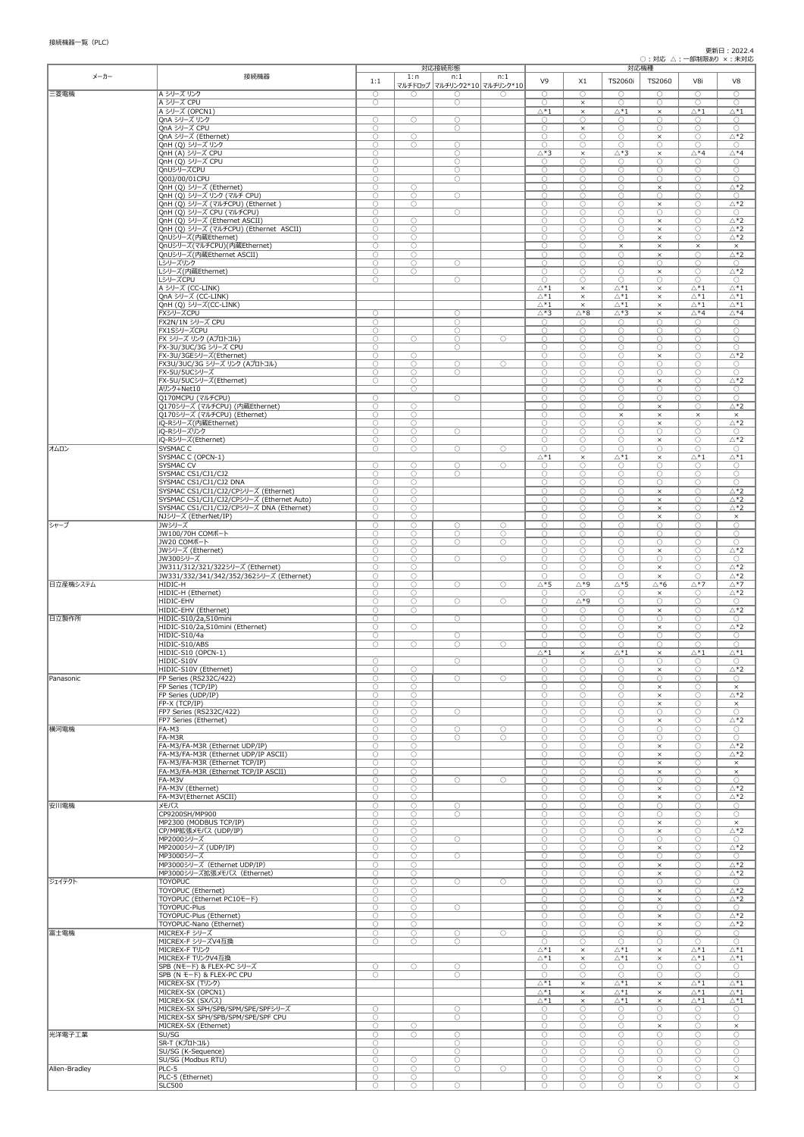| メーカー          | 接続機器                                                                              |                          | 1:n                      | 対応接続形態<br>n:1                | n:1                      |                                       |                          | 対応機種                             |                          |                                  |                                            |
|---------------|-----------------------------------------------------------------------------------|--------------------------|--------------------------|------------------------------|--------------------------|---------------------------------------|--------------------------|----------------------------------|--------------------------|----------------------------------|--------------------------------------------|
|               |                                                                                   | 1:1                      |                          | マルチドロップ マルチリンク2*10 マルチリンク*10 |                          | V <sub>9</sub>                        | X1                       | <b>TS2060i</b>                   | TS2060                   | V8i                              | V8                                         |
| 三菱電機          | A シリーズ リンク                                                                        | $\bigcirc$               | $\bigcirc$               | $\bigcirc$                   | $\bigcirc$               | $\bigcirc$                            | $\bigcirc$               | $\bigcirc$                       | $\bigcirc$               | $\bigcirc$                       | $\bigcirc$                                 |
|               | A シリーズ CPU                                                                        | $\bigcirc$               |                          | $\bigcirc$                   |                          | $\bigcirc$                            | $\times$                 | $\bigcirc$                       | $\bigcirc$               | $\bigcirc$                       | $\bigcirc$                                 |
|               | A シリーズ (OPCN1)<br>QnA シリーズ リンク                                                    | $\bigcirc$               | $\bigcirc$               | $\bigcirc$                   |                          | $\triangle^*1$<br>$\bigcirc$          | $\times$<br>$\bigcirc$   | $\triangle *1$<br>$\bigcirc$     | $\times$<br>$\bigcirc$   | $\triangle *1$<br>$\bigcirc$     | $\triangle^*1$<br>$\bigcirc$               |
|               | QnA シリーズ CPU                                                                      | $\bigcirc$               |                          | $\bigcirc$                   |                          | $\bigcirc$                            | $\times$                 | $\bigcirc$                       | $\bigcirc$               | $\bigcirc$                       | $\bigcirc$                                 |
|               | QnA シリーズ (Ethernet)<br>QnH (Q) シリーズ リンク                                           | $\bigcirc$<br>$\bigcirc$ | $\bigcirc$<br>$\bigcirc$ | $\bigcirc$                   |                          | $\bigcirc$<br>$\bigcirc$              | $\bigcirc$<br>$\bigcirc$ | $\bigcirc$<br>$\bigcirc$         | $\times$<br>$\bigcirc$   | $\bigcirc$<br>$\bigcirc$         | $\triangle$ *2<br>$\bigcirc$               |
|               | QnH (A) シリーズ CPU                                                                  | $\bigcirc$               |                          | $\bigcirc$                   |                          | $\triangle *3$                        | $\times$                 | $\triangle *3$                   | $\times$                 | $\triangle *4$                   | $\triangle *4$                             |
|               | QnH (Q) シリーズ CPU                                                                  | $\bigcirc$               |                          | $\bigcirc$                   |                          | $\bigcirc$                            | $\bigcirc$               | $\bigcirc$                       | $\bigcirc$               | $\bigcirc$                       | $\bigcirc$                                 |
|               | QnUシリーズCPU<br>Q00J/00/01CPU                                                       | $\bigcirc$<br>$\bigcirc$ |                          | $\bigcirc$<br>$\bigcirc$     |                          | $\bigcirc$<br>$\bigcirc$              | $\bigcirc$<br>$\bigcirc$ | $\bigcirc$<br>$\bigcirc$         | $\bigcirc$<br>$\bigcirc$ | $\bigcirc$<br>$\bigcirc$         | $\bigcirc$<br>$\bigcirc$                   |
|               | QnH (Q) シリーズ (Ethernet)                                                           | $\bigcirc$               | $\bigcirc$               |                              |                          | $\bigcirc$                            | $\bigcirc$               | $\bigcirc$                       | $\times$                 | $\bigcirc$                       | $\triangle *2$                             |
|               | QnH (Q) シリーズ リンク (マルチ CPU)                                                        | $\bigcirc$               | $\bigcirc$               | $\bigcirc$                   |                          | $\bigcirc$                            | $\bigcirc$               | $\bigcirc$                       | $\bigcirc$               | $\bigcirc$                       | $\bigcirc$                                 |
|               | QnH (Q) シリーズ (マルチCPU) (Ethernet)<br>QnH (Q) シリーズ CPU (マルチCPU)                     | $\bigcirc$<br>$\bigcirc$ | $\bigcirc$               | $\bigcirc$                   |                          | $\bigcirc$<br>$\bigcirc$              | $\bigcirc$<br>$\bigcirc$ | $\bigcirc$<br>$\bigcirc$         | $\times$<br>$\bigcirc$   | $\bigcirc$<br>$\bigcirc$         | $\triangle *2$<br>$\bigcirc$               |
|               | QnH (Q) シリーズ (Ethernet ASCII)                                                     | $\bigcirc$               | $\bigcirc$               |                              |                          | $\bigcirc$                            | $\bigcirc$               | $\bigcirc$                       | $\times$                 | $\bigcirc$                       | $\triangle *2$                             |
|               | QnH (Q) シリーズ (マルチCPU) (Ethernet ASCII)                                            | $\bigcirc$               | $\bigcirc$               |                              |                          | $\bigcirc$                            | $\bigcirc$               | $\bigcirc$                       | $\times$                 | $\bigcirc$                       | $\triangle *2$                             |
|               | QnUシリーズ(内蔵Ethernet)<br>QnUシリーズ(マルチCPU)(内蔵Ethernet)                                | $\bigcirc$<br>$\bigcirc$ | $\bigcirc$<br>$\bigcirc$ |                              |                          | $\bigcirc$<br>$\bigcirc$              | $\bigcirc$<br>$\bigcirc$ | $\bigcirc$<br>$\times$           | $\times$<br>$\times$     | $\bigcirc$<br>$\times$           | $\triangle *2$<br>$\times$                 |
|               | QnUシリーズ(内蔵Ethernet ASCII)                                                         | $\bigcirc$               | $\bigcirc$               |                              |                          | $\bigcirc$                            | $\bigcirc$               | $\bigcirc$                       | $\times$                 | $\bigcirc$                       | $\triangle *2$                             |
|               | レシリーズリンク                                                                          | $\bigcirc$               | $\bigcirc$               | $\bigcirc$                   |                          | $\bigcirc$                            | $\bigcirc$<br>$\bigcirc$ | $\bigcirc$                       | $\bigcirc$               | $\bigcirc$                       | $\bigcirc$<br>$\triangle *2$               |
|               | Lシリーズ(内蔵Ethernet)<br><b>LシリーズCPU</b>                                              | $\bigcirc$<br>$\bigcirc$ | $\bigcirc$               | $\bigcirc$                   |                          | $\bigcirc$<br>$\bigcirc$              | $\bigcirc$               | $\bigcirc$<br>$\bigcirc$         | $\times$<br>$\bigcirc$   | $\bigcirc$<br>$\bigcirc$         | $\bigcirc$                                 |
|               | A シリーズ (CC-LINK)                                                                  |                          |                          |                              |                          | $\triangle^*1$                        | $\times$                 | $\triangle *1$                   | $\times$                 | $\triangle^*1$                   | $\triangle^*1$                             |
|               | QnA シリーズ (CC-LINK)<br>QnH (Q) シリーズ(CC-LINK)                                       |                          |                          |                              |                          | $\triangle^*1$<br>$\triangle^*1$      | $\times$<br>$\times$     | $\triangle *1$<br>$\triangle^*1$ | $\times$<br>$\times$     | $\triangle *1$<br>$\triangle *1$ | $\triangle^*1$<br>$\triangle^*1$           |
|               | FXシリーズCPU                                                                         | $\bigcirc$               |                          | $\bigcirc$                   |                          | $\triangle *3$                        | $\triangle *8$           | $\triangle *3$                   | $\times$                 | $\triangle *4$                   | $\triangle *4$                             |
|               | FX2N/1N シリーズ CPU                                                                  | $\bigcirc$               |                          | $\bigcirc$                   |                          | $\bigcirc$                            | $\bigcirc$               | $\bigcirc$                       | $\bigcirc$               | $\bigcirc$                       | $\bigcirc$                                 |
|               | FX1SシリーズCPU<br> FX シリーズ リンク (Aプロトコル)                                              | $\bigcirc$<br>$\bigcirc$ | $\bigcirc$               | $\bigcirc$<br>$\bigcirc$     | $\bigcirc$               | $\bigcirc$<br>$\bigcirc$              | $\bigcirc$<br>$\bigcirc$ | $\bigcirc$<br>$\bigcirc$         | $\bigcirc$<br>$\bigcirc$ | $\bigcirc$<br>$\bigcirc$         | $\bigcirc$<br>$\bigcirc$                   |
|               | FX-3U/3UC/3G シリーズ CPU                                                             | $\bigcirc$               |                          | $\bigcirc$                   |                          | $\bigcirc$                            | $\bigcirc$               | $\bigcirc$                       | $\bigcirc$               | $\bigcirc$                       | $\bigcirc$                                 |
|               | FX-3U/3GEシリーズ(Ethernet)                                                           | $\bigcirc$               | $\bigcirc$               |                              |                          | $\bigcirc$                            | $\bigcirc$               | $\bigcirc$                       | $\times$                 | $\bigcirc$                       | $\triangle *2$                             |
|               | FX3U/3UC/3G シリーズ リンク (Aプロトコル)<br>FX-5U/5UCシリーズ                                    | $\bigcirc$<br>$\bigcirc$ | $\bigcirc$<br>$\bigcirc$ | $\bigcirc$<br>$\bigcirc$     | $\bigcirc$               | $\bigcirc$<br>$\bigcirc$              | $\bigcirc$<br>$\bigcirc$ | $\bigcirc$<br>$\bigcirc$         | $\bigcirc$<br>$\bigcirc$ | $\bigcirc$<br>$\bigcirc$         | $\bigcirc$<br>$\bigcirc$                   |
|               | FX-5U/5UCシリーズ(Ethernet)                                                           | $\bigcirc$               | $\bigcirc$               |                              |                          | $\bigcirc$                            | $\bigcirc$               | $\bigcirc$                       | $\times$                 | $\bigcirc$                       | $\triangle *2$                             |
|               | Aリンク+Net10                                                                        |                          | $\bigcirc$               |                              |                          | $\bigcirc$                            | $\bigcirc$               | $\bigcirc$                       | $\bigcirc$               | $\bigcirc$                       | $\bigcirc$                                 |
|               | Q170MCPU (マルチCPU)<br>Q170シリーズ (マルチCPU) (内蔵Ethernet)                               | $\bigcirc$<br>$\bigcirc$ | $\bigcirc$               | $\bigcirc$                   |                          | $\bigcirc$<br>$\bigcirc$              | $\bigcirc$<br>$\bigcirc$ | $\bigcirc$<br>$\bigcirc$         | $\bigcirc$<br>$\times$   | $\bigcirc$<br>$\bigcirc$         | $\bigcirc$<br>$\triangle *2$               |
|               | Q170シリーズ (マルチCPU) (Ethernet)                                                      | $\bigcirc$               | $\bigcirc$               |                              |                          | $\bigcirc$                            | $\bigcirc$               | $\times$                         | $\times$                 | $\times$                         | $\times$                                   |
|               | iQ-Rシリーズ(内蔵Ethernet)                                                              | $\bigcirc$               | $\bigcirc$               |                              |                          | $\bigcirc$                            | $\bigcirc$               | $\bigcirc$                       | $\times$                 | $\bigcirc$                       | $\triangle *2$                             |
|               | iQ-Rシリーズリンク<br>iQ-Rシリーズ(Ethernet)                                                 | $\bigcirc$<br>$\bigcirc$ | $\bigcirc$<br>$\bigcirc$ | $\bigcirc$                   |                          | $\bigcirc$<br>$\bigcirc$              | $\bigcirc$<br>$\bigcirc$ | $\bigcirc$<br>$\bigcirc$         | $\bigcirc$<br>$\times$   | $\bigcirc$<br>$\bigcirc$         | $\bigcirc$<br>$\triangle *2$               |
| オムロン          | SYSMAC <sub>C</sub>                                                               | $\bigcirc$               | $\bigcirc$               | $\bigcirc$                   | $\bigcirc$               | $\bigcirc$                            | $\bigcirc$               | $\bigcirc$                       | $\bigcirc$               | $\bigcirc$                       | $\bigcirc$                                 |
|               | SYSMAC C (OPCN-1)                                                                 |                          |                          |                              |                          | $\bigtriangleup^*1$                   | $\times$                 | $\triangle^*1$                   | $\times$                 | $\triangle *1$                   | $\triangle^*1$                             |
|               | <b>SYSMAC CV</b><br>SYSMAC CS1/CJ1/CJ2                                            | $\bigcirc$<br>$\bigcirc$ | $\bigcirc$<br>$\bigcirc$ | $\bigcirc$<br>$\bigcirc$     | $\bigcirc$               | $\bigcirc$<br>$\bigcirc$              | $\bigcirc$<br>$\bigcirc$ | $\bigcirc$<br>$\bigcirc$         | $\bigcirc$<br>$\bigcirc$ | $\bigcirc$<br>$\bigcirc$         | $\bigcirc$<br>$\bigcirc$                   |
|               | SYSMAC CS1/CJ1/CJ2 DNA                                                            | $\bigcirc$               | $\bigcirc$               |                              |                          | $\bigcirc$                            | $\bigcirc$               | $\bigcirc$                       | $\bigcirc$               | $\bigcirc$                       | $\bigcirc$                                 |
|               | SYSMAC CS1/CJ1/CJ2/CPシリーズ (Ethernet)<br>SYSMAC CS1/CJ1/CJ2/CPシリーズ (Ethernet Auto) | $\bigcirc$<br>$\bigcirc$ | $\bigcirc$<br>$\bigcirc$ |                              |                          | $\bigcirc$<br>$\bigcirc$              | $\bigcirc$<br>$\bigcirc$ | $\bigcirc$<br>$\bigcirc$         | $\times$<br>$\times$     | $\bigcirc$<br>$\bigcirc$         | $\triangle *2$<br>$\triangle *2$           |
|               | SYSMAC CS1/CJ1/CJ2/CPシリーズ DNA (Ethernet)                                          | $\bigcirc$               | $\bigcirc$               |                              |                          | $\bigcirc$                            | $\bigcirc$               | $\bigcirc$                       | $\times$                 | $\bigcirc$                       | $\triangle *2$                             |
|               | NJシリーズ (EtherNet/IP)                                                              | $\bigcirc$               | $\bigcirc$               |                              |                          | $\bigcirc$                            | $\bigcirc$               | $\bigcirc$                       | $\times$                 | $\bigcirc$                       | $\times$                                   |
| ┃シャープ         | JWシリーズ<br>JW100/70H COMポート                                                        | $\bigcirc$<br>$\bigcirc$ | $\bigcirc$<br>$\bigcirc$ | $\bigcirc$<br>$\bigcirc$     | $\bigcirc$<br>$\bigcirc$ | $\bigcirc$<br>$\bigcirc$              | $\bigcirc$<br>$\bigcirc$ | $\bigcirc$<br>$\bigcirc$         | $\bigcirc$<br>$\bigcirc$ | $\bigcirc$<br>$\bigcirc$         | $\bigcirc$<br>$\bigcirc$                   |
|               | JW20 COMポート                                                                       | $\bigcirc$               | $\bigcirc$               | $\bigcirc$                   | $\bigcirc$               | $\bigcirc$                            | $\bigcirc$               | $\bigcirc$                       | $\bigcirc$               | $\bigcirc$                       | $\bigcirc$                                 |
|               | JWシリーズ (Ethernet)                                                                 | $\bigcirc$               | $\bigcirc$               |                              |                          | $\bigcirc$                            | $\bigcirc$               | $\bigcirc$                       | $\times$                 | $\bigcirc$                       | $\triangle *2$                             |
|               | JW300シリーズ<br>JW311/312/321/322シリーズ (Ethernet)                                     | $\bigcirc$<br>$\bigcirc$ | $\bigcirc$<br>$\bigcirc$ | $\bigcirc$                   | $\bigcirc$               | $\bigcirc$<br>$\bigcirc$              | $\bigcirc$<br>$\bigcirc$ | $\bigcirc$<br>$\bigcirc$         | $\bigcirc$<br>$\times$   | $\bigcirc$<br>$\bigcirc$         | $\bigcirc$<br>$\triangle *2$               |
|               | JW331/332/341/342/352/362シリーズ (Ethernet)                                          | $\bigcirc$               | $\bigcirc$               |                              |                          | $\bigcirc$                            | $\bigcirc$               | $\bigcirc$                       | $\times$                 | $\bigcirc$                       | $\triangle$ *2                             |
| 日立産機システム      | HIDIC-H                                                                           | $\bigcirc$               | $\bigcirc$               | $\bigcirc$                   | $\bigcirc$               | $\triangle *5$                        | ∆*9                      | $\triangle *5$                   | $\Delta * 6$             | $\triangle *7$                   | $\triangle *7$                             |
|               | HIDIC-H (Ethernet)<br>HIDIC-EHV                                                   | $\bigcirc$<br>$\bigcirc$ | $\bigcirc$<br>$\bigcirc$ | $\bigcirc$                   | $\bigcirc$               | $\bigcirc$<br>$\bigcirc$              | $\bigcirc$<br>∆*9        | $\bigcirc$<br>$\bigcirc$         | $\times$<br>$\bigcirc$   | $\bigcirc$<br>$\bigcirc$         | $\triangle *2$<br>$\bigcirc$               |
|               | HIDIC-EHV (Ethernet)                                                              | $\bigcirc$               | $\bigcirc$               |                              |                          | $\bigcirc$                            | $\bigcirc$               | $\bigcirc$                       | $\times$                 | $\bigcirc$                       | $\triangle *2$                             |
| 日立製作所         | HIDIC-S10/2a,S10mini                                                              | $\bigcirc$               |                          | $\bigcirc$                   |                          | $\bigcirc$                            | $\bigcirc$               | $\bigcirc$                       | $\bigcirc$               | $\bigcirc$                       | $\bigcirc$                                 |
|               | HIDIC-S10/2a, S10mini (Ethernet)<br>HIDIC-S10/4a                                  | $\bigcirc$<br>$\bigcirc$ | $\bigcirc$               | $\bigcirc$                   |                          | $\bigcirc$<br>$\bigcirc$              | $\bigcirc$<br>$\bigcirc$ | $\bigcirc$<br>$\bigcirc$         | $\times$<br>$\bigcirc$   | $\bigcirc$<br>$\bigcirc$         | $\triangle *2$<br>$\bigcirc$               |
|               | HIDIC-S10/ABS                                                                     | $\bigcirc$               | $\bigcirc$               | $\bigcirc$                   | $\bigcirc$               | $\bigcirc$                            | $\bigcirc$               | $\bigcap$                        | $\bigcirc$               | $\bigcap$                        | $\bigcirc$                                 |
|               | HIDIC-S10 (OPCN-1)                                                                |                          |                          |                              |                          | $\triangle^*1$                        | $\times$                 | $\triangle^*1$                   | $\times$                 | $\triangle^*1$                   | $\triangle *1$                             |
|               | HIDIC-S10V<br>HIDIC-S10V (Ethernet)                                               | $\bigcirc$<br>$\bigcirc$ | $\bigcirc$               | $\bigcirc$                   |                          | $\bigcirc$<br>$\bigcirc$              | $\bigcirc$<br>$\bigcirc$ | $\bigcirc$<br>$\bigcirc$         | $\bigcirc$<br>$\times$   | $\bigcirc$<br>$\bigcirc$         | $\bigcirc$<br>$\triangle *2$               |
| Panasonic     | FP Series (RS232C/422)                                                            | $\bigcirc$               | $\bigcirc$               | $\bigcirc$                   | $\bigcirc$               | $\bigcirc$                            | $\bigcirc$               | $\bigcirc$                       | $\bigcirc$               | $\bigcirc$                       | $\bigcirc$                                 |
|               | FP Series (TCP/IP)                                                                | $\bigcirc$               | $\bigcirc$               |                              |                          | $\bigcirc$                            | $\bigcirc$               | $\bigcirc$                       | $\times$                 | $\bigcirc$                       | $\times$                                   |
|               | FP Series (UDP/IP)<br>FP-X (TCP/IP)                                               | $\bigcirc$<br>$\bigcirc$ | $\bigcirc$<br>$\bigcirc$ |                              |                          | $\bigcirc$<br>$\bigcirc$              | $\bigcirc$<br>$\bigcirc$ | $\bigcirc$<br>$\bigcirc$         | $\times$<br>$\times$     | $\bigcirc$<br>$\bigcirc$         | $\Delta$ *2<br>$\times$                    |
|               | FP7 Series (RS232C/422)                                                           | $\bigcirc$               | $\bigcirc$               | $\bigcirc$                   |                          | $\bigcirc$                            | $\bigcirc$               | $\bigcirc$                       | $\bigcirc$               | $\bigcirc$                       | $\bigcirc$                                 |
|               | FP7 Series (Ethernet)                                                             | $\bigcirc$               | $\bigcirc$               |                              |                          | $\bigcirc$                            | $\bigcirc$               | $\bigcirc$                       | $\times$                 | $\bigcirc$                       | $\triangle *2$                             |
| 横河電機          | $FA-M3$<br>FA-M3R                                                                 | $\bigcirc$<br>$\bigcirc$ | $\bigcirc$<br>$\bigcirc$ | $\bigcirc$<br>$\bigcirc$     | $\bigcirc$<br>$\bigcirc$ | $\bigcirc$<br>$\bigcirc$              | $\bigcirc$<br>$\bigcirc$ | $\bigcirc$<br>$\bigcirc$         | $\bigcirc$<br>$\bigcirc$ | $\bigcirc$<br>$\bigcirc$         | $\bigcirc$<br>$\bigcirc$                   |
|               | FA-M3/FA-M3R (Ethernet UDP/IP)                                                    | $\bigcirc$               | $\bigcirc$               |                              |                          | $\bigcirc$                            | $\bigcirc$               | $\bigcirc$                       | $\times$                 | $\bigcirc$                       | $\triangle *2$                             |
|               | FA-M3/FA-M3R (Ethernet UDP/IP ASCII)                                              | $\bigcirc$               | $\bigcirc$               |                              |                          | $\bigcirc$                            | $\bigcirc$               | $\bigcirc$                       | $\times$                 | $\bigcirc$                       | $\triangle *2$                             |
|               | FA-M3/FA-M3R (Ethernet TCP/IP)<br>FA-M3/FA-M3R (Ethernet TCP/IP ASCII)            | $\bigcirc$<br>$\bigcirc$ | $\bigcirc$<br>$\bigcirc$ |                              |                          | $\bigcirc$<br>$\bigcirc$              | $\bigcirc$<br>$\bigcirc$ | $\bigcirc$<br>$\bigcirc$         | $\times$<br>$\times$     | $\bigcirc$<br>$\bigcirc$         | $\times$<br>$\times$                       |
|               | FA-M3V                                                                            | $\bigcirc$               | $\bigcirc$               | $\bigcirc$                   | $\bigcirc$               | $\bigcirc$                            | $\bigcirc$               | $\bigcirc$                       | $\bigcirc$               | $\bigcirc$                       | $\bigcirc$                                 |
|               | FA-M3V (Ethernet)<br>FA-M3V(Ethernet ASCII)                                       | $\bigcirc$<br>$\bigcirc$ | $\bigcirc$<br>$\bigcirc$ |                              |                          | $\bigcirc$<br>$\bigcirc$              | $\bigcirc$<br>$\bigcirc$ | $\bigcirc$<br>$\bigcirc$         | $\times$<br>$\times$     | $\bigcirc$<br>$\bigcirc$         | $\triangle$ *2<br>$\triangle *2$           |
| 安川電機          | メモバス                                                                              | $\bigcirc$               | $\bigcirc$               | $\bigcirc$                   |                          | $\bigcirc$                            | $\bigcirc$               | $\bigcirc$                       | $\bigcirc$               | $\bigcirc$                       | $\bigcirc$                                 |
|               | CP9200SH/MP900                                                                    | $\bigcirc$               | $\bigcirc$               | $\bigcirc$                   |                          | $\bigcirc$                            | $\bigcirc$               | $\bigcirc$                       | $\bigcirc$               | $\bigcirc$                       | $\bigcirc$                                 |
|               | MP2300 (MODBUS TCP/IP)<br>CP/MP拡張メモバス (UDP/IP)                                    | $\bigcirc$<br>$\bigcirc$ | $\bigcirc$<br>$\bigcirc$ |                              |                          | $\bigcirc$<br>$\bigcirc$              | $\bigcirc$<br>$\bigcirc$ | $\bigcirc$<br>$\bigcirc$         | $\times$<br>$\times$     | $\bigcirc$<br>$\bigcirc$         | $\times$<br>$\triangle *2$                 |
|               | MP2000シリーズ                                                                        | $\bigcirc$               | $\bigcirc$               | $\bigcirc$                   |                          | $\bigcirc$                            | $\bigcirc$               | $\bigcirc$                       | $\bigcirc$               | $\bigcirc$                       | $\bigcirc$                                 |
|               | MP2000シリーズ (UDP/IP)                                                               | $\bigcirc$               | $\bigcirc$               |                              |                          | $\bigcirc$                            | $\bigcirc$               | $\bigcirc$                       | $\times$                 | $\bigcirc$                       | $\triangle *2$                             |
|               | MP3000シリーズ<br>MP3000シリーズ (Ethernet UDP/IP)                                        | $\bigcirc$<br>$\bigcirc$ | $\bigcirc$<br>$\bigcirc$ | $\bigcirc$                   |                          | $\bigcirc$<br>$\bigcirc$              | $\bigcirc$<br>$\bigcirc$ | $\bigcirc$<br>$\bigcirc$         | $\bigcirc$<br>$\times$   | $\bigcirc$<br>$\bigcirc$         | $\bigcirc$<br>$\triangle *2$               |
|               | MP3000シリーズ拡張メモバス (Ethernet)                                                       | $\bigcirc$               | $\bigcirc$               |                              |                          | $\bigcirc$                            | $\bigcirc$               | $\bigcirc$                       | $\times$                 | $\bigcirc$                       | $\triangle *2$                             |
| ジェイテクト        | <b>TOYOPUC</b>                                                                    | $\bigcirc$               | $\bigcirc$<br>$\bigcirc$ | $\bigcirc$                   | $\bigcirc$               | $\bigcirc$<br>$\bigcirc$              | $\bigcirc$<br>$\bigcirc$ | $\bigcirc$<br>$\bigcirc$         | $\bigcirc$               | $\bigcirc$<br>$\bigcirc$         | $\bigcirc$<br>$\triangle *2$               |
|               | TOYOPUC (Ethernet)<br>TOYOPUC (Ethernet PC10モード)                                  | $\bigcirc$<br>$\bigcirc$ | $\bigcirc$               |                              |                          | $\bigcirc$                            | $\bigcirc$               | $\bigcirc$                       | $\times$<br>$\times$     | $\bigcirc$                       | $\triangle *2$                             |
|               | <b>TOYOPUC-Plus</b>                                                               | $\bigcirc$               | $\bigcirc$               | $\bigcirc$                   |                          | $\bigcirc$                            | $\bigcirc$               | $\bigcirc$                       | $\bigcirc$               | $\bigcirc$                       | $\bigcirc$                                 |
|               | TOYOPUC-Plus (Ethernet)<br>TOYOPUC-Nano (Ethernet)                                | $\bigcirc$<br>$\bigcirc$ | $\bigcirc$<br>$\bigcirc$ |                              |                          | $\bigcirc$<br>$\bigcirc$              | $\bigcirc$<br>$\bigcirc$ | $\bigcirc$<br>$\bigcirc$         | $\times$<br>$\times$     | $\bigcirc$<br>$\bigcirc$         | $\triangle *2$<br>$\triangle *2$           |
| 富士電機          | MICREX-F シリーズ                                                                     | $\bigcirc$               | $\bigcirc$               | $\bigcirc$                   | $\bigcirc$               | $\bigcirc$                            | $\bigcirc$               | $\bigcirc$                       | $\bigcirc$               | $\bigcirc$                       | $\bigcirc$                                 |
|               | MICREX-F シリーズV4互換                                                                 | $\bigcirc$               | $\bigcirc$               | $\bigcirc$                   |                          | $\bigcirc$                            | $\bigcirc$               | $\bigcirc$                       | $\bigcirc$               | $\bigcirc$                       | $\bigcirc$                                 |
|               | MICREX-F Tリンク<br>MICREX-F TリンクV4互換                                                |                          |                          |                              |                          | $\triangle^*1$<br>$\triangle^*1$      | $\times$<br>$\times$     | $\triangle^*1$<br>$\triangle^*1$ | $\times$<br>$\times$     | $\triangle^*1$<br>$\triangle^*1$ | $\triangle^*1$<br>$\bigtriangleup^*1$      |
|               | SPB (Nモード) & FLEX-PC シリーズ                                                         | $\bigcirc$               | $\bigcirc$               | $\bigcirc$                   |                          | $\bigcirc$                            | $\bigcirc$               | $\bigcirc$                       | $\bigcirc$               | $\bigcirc$                       | $\bigcirc$                                 |
|               | SPB (N モード) & FLEX-PC CPU                                                         | $\bigcirc$               |                          | $\bigcirc$                   |                          | $\bigcirc$                            | $\bigcirc$               | $\bigcirc$                       | $\bigcirc$               | $\bigcirc$                       | $\bigcirc$                                 |
|               | MICREX-SX (Tリンク)<br>MICREX-SX (OPCN1)                                             |                          |                          |                              |                          | $\bigtriangleup^*1$<br>$\triangle^*1$ | $\times$<br>$\times$     | $\triangle^*1$<br>$\triangle^*1$ | $\times$<br>$\times$     | $\triangle^*1$<br>$\triangle^*1$ | $\bigtriangleup^*1$<br>$\bigtriangleup^*1$ |
|               | MICREX-SX (SXバス)                                                                  |                          |                          |                              |                          | $\triangle^*1$                        | $\times$                 | $\triangle^*1$                   | $\times$                 | $\triangle *1$                   | $\triangle^*1$                             |
|               | MICREX-SX SPH/SPB/SPM/SPE/SPFシリーズ                                                 | $\bigcirc$               |                          | $\bigcirc$                   |                          | $\bigcirc$                            | $\bigcirc$               | $\bigcirc$                       | $\bigcirc$               | $\bigcirc$                       | $\bigcirc$                                 |
|               | MICREX-SX SPH/SPB/SPM/SPE/SPF CPU<br>MICREX-SX (Ethernet)                         | $\bigcirc$<br>$\bigcirc$ | $\bigcirc$               | $\bigcirc$                   |                          | $\bigcirc$<br>$\bigcirc$              | $\bigcirc$<br>$\bigcirc$ | $\bigcirc$<br>$\bigcirc$         | $\bigcirc$<br>$\times$   | $\bigcirc$<br>$\bigcirc$         | $\bigcirc$<br>$\times$                     |
| 光洋電子工業        | SU/SG                                                                             | $\bigcirc$               | $\bigcirc$               | $\bigcirc$                   |                          | $\bigcirc$                            | $\bigcirc$               | $\bigcirc$                       | $\bigcirc$               | $\bigcirc$                       | $\bigcirc$                                 |
|               | SR-T (Kプロトコル)                                                                     | $\bigcirc$               |                          | $\bigcirc$                   |                          | $\bigcirc$                            | $\bigcirc$               | $\bigcirc$                       | $\bigcirc$               | $\bigcirc$                       | $\bigcirc$                                 |
|               | SU/SG (K-Sequence)<br>SU/SG (Modbus RTU)                                          | $\bigcirc$<br>$\bigcirc$ | $\bigcirc$               | $\bigcirc$<br>$\bigcirc$     |                          | $\bigcirc$<br>$\bigcirc$              | $\bigcirc$<br>$\bigcirc$ | $\bigcirc$<br>$\bigcirc$         | $\bigcirc$<br>$\bigcirc$ | $\bigcirc$<br>$\bigcirc$         | $\bigcirc$<br>$\bigcirc$                   |
| Allen-Bradley | $PLC-5$                                                                           | $\bigcirc$               | $\bigcirc$               | $\bigcirc$                   | $\bigcirc$               | $\bigcirc$                            | $\bigcirc$               | $\bigcirc$                       | $\bigcirc$               | $\bigcirc$                       | $\bigcirc$                                 |
|               | PLC-5 (Ethernet)                                                                  | $\bigcirc$               | $\bigcirc$               |                              |                          | $\bigcirc$                            | $\bigcirc$               | $\bigcirc$                       | $\times$                 | $\bigcirc$                       | $\times$                                   |
|               | SLC500                                                                            | $\bigcirc$               | $\bigcirc$               | $\bigcirc$                   |                          | $\bigcirc$                            | $\bigcirc$               | $\bigcirc$                       | $\bigcirc$               | $\bigcirc$                       | $\bigcirc$                                 |

## 更新日:2022.4

○:対応 △:一部制限あり ×:未対応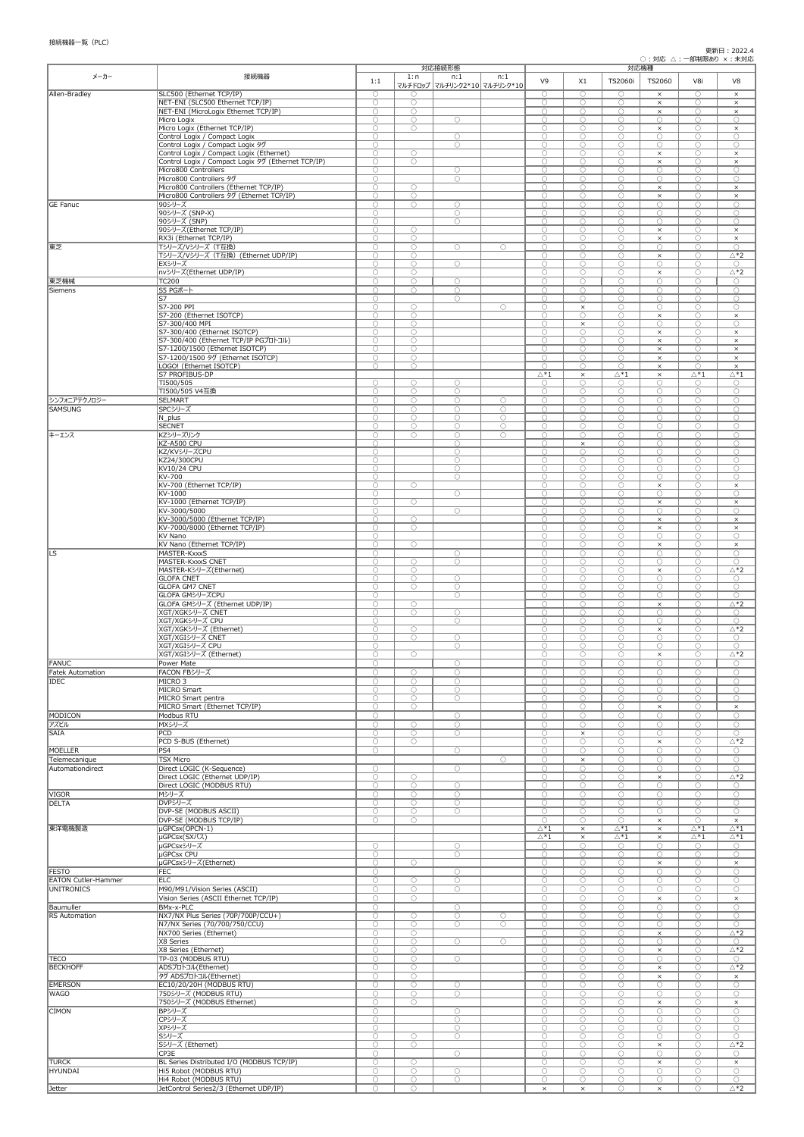## 更新日:2022.4

○:対応 △:一部制限あり ×:未対応

| メーカー                       | 接続機器                                                                       | 対応接続形態                   |                          |                                     | 対応機種                     |                              |                          |                                           |                          |                              |                                      |
|----------------------------|----------------------------------------------------------------------------|--------------------------|--------------------------|-------------------------------------|--------------------------|------------------------------|--------------------------|-------------------------------------------|--------------------------|------------------------------|--------------------------------------|
|                            |                                                                            | 1:1                      | 1:n                      | n:1<br>マルチドロップ マルチリンク2*10 マルチリンク*10 | n:1                      | V <sub>9</sub>               | X1                       | TS2060i                                   | TS2060                   | V8i                          | V8                                   |
| Allen-Bradley              | SLC500 (Ethernet TCP/IP)                                                   | $\bigcirc$               | $\bigcirc$               |                                     |                          | $\bigcirc$                   | $\bigcirc$               | $\bigcirc$                                | $\times$                 | $\bigcirc$                   | $\times$                             |
|                            | NET-ENI (SLC500 Ethernet TCP/IP)                                           | $\bigcirc$               | $\bigcirc$               |                                     |                          | $\bigcirc$                   | $\bigcirc$               | $\bigcirc$                                | $\times$                 | $\bigcirc$                   | $\times$                             |
|                            | NET-ENI (MicroLogix Ethernet TCP/IP)                                       | $\bigcirc$               | $\bigcirc$               |                                     |                          | $\bigcirc$                   | $\bigcirc$               | $\bigcirc$                                | $\times$                 | $\bigcirc$                   | $\times$                             |
|                            | Micro Logix<br>Micro Logix (Ethernet TCP/IP)                               | $\bigcirc$<br>$\bigcirc$ | $\bigcirc$<br>$\bigcirc$ | $\bigcirc$                          |                          | $\bigcirc$<br>$\bigcirc$     | $\bigcirc$<br>$\bigcirc$ | $\bigcirc$<br>$\bigcirc$                  | $\bigcirc$<br>$\times$   | $\bigcirc$<br>$\bigcirc$     | $\bigcirc$<br>$\times$               |
|                            | Control Logix / Compact Logix                                              | $\bigcirc$               |                          | $\bigcirc$                          |                          | $\bigcirc$                   | $\bigcirc$               | $\bigcirc$                                | $\bigcirc$               | $\bigcirc$                   | $\bigcirc$                           |
|                            | Control Logix / Compact Logix タグ                                           | $\bigcirc$               |                          | $\bigcirc$                          |                          | $\bigcirc$                   | $\bigcirc$               | $\bigcirc$                                | $\bigcirc$               | $\bigcirc$                   | $\bigcirc$                           |
|                            | Control Logix / Compact Logix (Ethernet)                                   | $\bigcirc$               | $\bigcirc$               |                                     |                          | $\bigcirc$                   | $\bigcirc$               | $\bigcirc$                                | $\times$                 | $\bigcirc$                   | $\times$                             |
|                            | Control Logix / Compact Logix 9グ (Ethernet TCP/IP)<br>Micro800 Controllers | $\bigcirc$<br>$\bigcirc$ | $\bigcirc$               | $\bigcirc$                          |                          | $\bigcirc$<br>$\bigcirc$     | $\bigcirc$<br>$\bigcirc$ | $\bigcirc$<br>$\bigcirc$                  | $\times$<br>$\bigcirc$   | $\bigcirc$<br>$\bigcirc$     | $\times$<br>$\bigcirc$               |
|                            | Micro800 Controllers タグ                                                    | $\bigcirc$               |                          | $\bigcirc$                          |                          | $\bigcirc$                   | $\bigcirc$               | $\bigcirc$                                | $\bigcirc$               | $\bigcirc$                   | $\bigcirc$                           |
|                            | Micro800 Controllers (Ethernet TCP/IP)                                     | $\bigcirc$               | $\bigcirc$               |                                     |                          | $\bigcirc$                   | $\bigcirc$               | $\bigcirc$                                | $\times$                 | $\bigcirc$                   | $\times$                             |
|                            | Micro800 Controllers 9グ (Ethernet TCP/IP)                                  | $\bigcirc$               | $\bigcirc$               |                                     |                          | $\bigcirc$                   | $\bigcirc$               | $\bigcirc$                                | $\times$                 | $\bigcirc$                   | $\times$                             |
| <b>GE Fanuc</b>            | 90シリーズ<br>90シリーズ (SNP-X)                                                   | $\bigcirc$<br>$\bigcirc$ | $\bigcirc$               | $\bigcirc$<br>$\bigcirc$            |                          | $\bigcirc$<br>$\bigcirc$     | $\bigcirc$<br>$\bigcirc$ | $\bigcirc$<br>$\bigcirc$                  | $\bigcirc$<br>$\bigcirc$ | $\bigcirc$<br>$\bigcirc$     | $\bigcirc$<br>$\bigcirc$             |
|                            | 90シリーズ (SNP)                                                               | $\bigcirc$               |                          | $\bigcirc$                          |                          | $\bigcirc$                   | $\bigcirc$               | $\bigcirc$                                | $\bigcirc$               | $\bigcirc$                   | $\bigcirc$                           |
|                            | 90シリーズ(Ethernet TCP/IP)                                                    | $\bigcirc$               | $\bigcirc$               |                                     |                          | $\bigcirc$                   | $\bigcirc$               | $\bigcirc$                                | $\times$                 | $\bigcirc$                   | $\times$                             |
|                            | RX3i (Ethernet TCP/IP)                                                     | $\bigcirc$               | $\bigcirc$               |                                     |                          | $\bigcirc$                   | $\bigcirc$               | $\bigcirc$                                | $\times$                 | $\bigcirc$                   | $\times$                             |
| 東芝                         | Tシリーズ/Vシリーズ (T互換)<br>Tシリーズ/Vシリーズ (T互換) (Ethernet UDP/IP)                   | $\bigcirc$<br>$\bigcirc$ | $\bigcirc$<br>$\bigcirc$ | $\bigcirc$                          | $\bigcirc$               | $\bigcirc$<br>$\bigcirc$     | $\bigcirc$<br>$\bigcirc$ | $\bigcirc$<br>$\bigcirc$                  | $\bigcirc$<br>$\times$   | $\bigcirc$<br>$\bigcirc$     | $\bigcirc$<br>$\triangle *2$         |
|                            | EXシリーズ                                                                     | $\bigcirc$               | $\bigcirc$               | $\bigcirc$                          |                          | $\bigcirc$                   | $\bigcirc$               | $\bigcirc$                                | $\bigcirc$               | $\bigcirc$                   | $\bigcirc$                           |
|                            | nvシリーズ(Ethernet UDP/IP)                                                    | $\bigcirc$               | $\bigcirc$               |                                     |                          | $\bigcirc$                   | $\bigcirc$               | $\bigcirc$                                | $\times$                 | $\bigcirc$                   | $\triangle *2$                       |
| 東芝機械                       | <b>TC200</b>                                                               | $\bigcirc$               | $\bigcirc$               | $\bigcirc$                          |                          | $\bigcirc$                   | $\bigcirc$               | $\bigcirc$                                | $\bigcirc$               | $\bigcirc$                   | $\bigcirc$                           |
| Siemens                    | S5 PGポート<br>S7                                                             | $\bigcirc$<br>$\bigcirc$ | $\bigcirc$               | $\bigcirc$<br>$\bigcirc$            |                          | $\bigcirc$<br>$\bigcirc$     | $\bigcirc$<br>$\bigcirc$ | $\bigcirc$<br>$\bigcirc$                  | $\bigcirc$<br>$\bigcirc$ | $\bigcirc$<br>$\bigcirc$     | $\bigcirc$<br>$\bigcirc$             |
|                            | S7-200 PPI                                                                 | $\bigcirc$               | $\bigcirc$               |                                     | $\bigcirc$               | $\bigcirc$                   | $\times$                 | $\bigcirc$                                | $\bigcirc$               | $\bigcirc$                   | $\bigcirc$                           |
|                            | S7-200 (Ethernet ISOTCP)                                                   | $\bigcirc$               | $\bigcirc$               |                                     |                          | $\bigcirc$                   | $\bigcirc$               | $\bigcirc$                                | $\times$                 | $\bigcirc$                   | $\times$                             |
|                            | S7-300/400 MPI                                                             | $\bigcirc$               | $\bigcirc$               |                                     |                          | $\bigcirc$                   | $\times$                 | $\bigcirc$                                | $\bigcirc$               | $\bigcirc$                   | $\bigcirc$                           |
|                            | S7-300/400 (Ethernet ISOTCP)<br>S7-300/400 (Ethernet TCP/IP PGプロトコル)       | $\bigcirc$<br>$\bigcirc$ | $\bigcirc$<br>$\bigcirc$ |                                     |                          | $\bigcirc$<br>$\bigcirc$     | $\bigcirc$<br>$\bigcirc$ | $\bigcirc$<br>$\bigcirc$                  | $\times$<br>$\times$     | $\bigcirc$<br>$\bigcirc$     | $\times$<br>$\times$                 |
|                            | S7-1200/1500 (Ethernet ISOTCP)                                             | $\bigcirc$               | $\bigcirc$               |                                     |                          | $\bigcirc$                   | $\bigcirc$               | $\bigcirc$                                | $\times$                 | $\bigcirc$                   | $\times$                             |
|                            | S7-1200/1500 タグ (Ethernet ISOTCP)                                          | $\bigcirc$               | $\overline{O}$           |                                     |                          | $\bigcirc$                   | $\bigcirc$               | $\bigcirc$                                | $\times$                 | $\overline{O}$               | $\times$                             |
|                            | LOGO! (Ethernet ISOTCP)                                                    | $\bigcirc$               | $\bigcirc$               |                                     |                          | $\bigcirc$                   | $\bigcirc$               | $\bigcirc$                                | $\times$                 | $\bigcirc$                   | $\times$                             |
|                            | S7 PROFIBUS-DP<br>TI500/505                                                | $\bigcirc$               | $\bigcirc$               | $\bigcirc$                          |                          | $\triangle^*1$<br>$\bigcirc$ | $\times$<br>$\bigcirc$   | $\triangle^*1$<br>$\bigcirc$              | $\times$<br>$\bigcirc$   | $\triangle^*1$<br>$\bigcirc$ | $\triangle^*1$<br>$\bigcirc$         |
|                            | TI500/505 V4互換                                                             | $\bigcirc$               | $\bigcirc$               | $\bigcirc$                          |                          | $\bigcirc$                   | $\bigcirc$               | $\bigcirc$                                | $\bigcirc$               | $\bigcirc$                   | $\bigcirc$                           |
| シンフォニアテクノロジー               | <b>SELMART</b>                                                             | $\bigcirc$               | $\bigcirc$               | $\bigcirc$                          | $\bigcirc$               | $\bigcirc$                   | $\bigcirc$               | $\bigcirc$                                | $\bigcirc$               | $\bigcirc$                   | $\bigcirc$                           |
| <b>SAMSUNG</b>             | SPCシリーズ                                                                    | $\bigcirc$               | $\bigcirc$               | $\bigcirc$                          | $\bigcirc$               | $\bigcirc$                   | $\bigcirc$               | $\bigcirc$                                | $\bigcirc$               | $\bigcirc$                   | $\bigcirc$                           |
|                            | $N_$ plus<br><b>SECNET</b>                                                 | $\bigcirc$<br>$\bigcirc$ | $\bigcirc$<br>$\bigcirc$ | $\bigcirc$<br>$\bigcirc$            | $\bigcirc$<br>$\bigcirc$ | $\bigcirc$<br>$\bigcirc$     | $\bigcirc$<br>$\bigcirc$ | $\bigcirc$<br>$\bigcirc$                  | $\bigcirc$<br>$\bigcirc$ | $\bigcirc$<br>$\bigcirc$     | $\bigcirc$<br>$\bigcirc$             |
| キーエンス                      | KZシリーズリンク                                                                  | $\bigcirc$               | $\bigcirc$               | $\bigcirc$                          | $\bigcirc$               | $\bigcirc$                   | $\bigcirc$               | $\bigcirc$                                | $\bigcirc$               | $\bigcirc$                   | $\bigcirc$                           |
|                            | KZ-A500 CPU                                                                | $\bigcirc$               |                          | $\bigcirc$                          |                          | $\bigcirc$                   | $\times$                 | $\bigcirc$                                | $\bigcirc$               | $\bigcirc$                   | $\bigcirc$                           |
|                            | KZ/KVシリーズCPU                                                               | $\bigcirc$               |                          | $\bigcirc$                          |                          | $\bigcirc$                   | $\bigcirc$               | $\bigcirc$                                | $\bigcirc$               | $\bigcirc$                   | $\bigcirc$                           |
|                            | KZ24/300CPU<br>KV10/24 CPU                                                 | $\bigcirc$<br>$\bigcirc$ |                          | $\bigcirc$<br>$\bigcirc$            |                          | $\bigcirc$<br>$\bigcirc$     | $\bigcirc$<br>$\bigcirc$ | $\bigcirc$<br>$\bigcirc$                  | $\bigcirc$<br>$\bigcirc$ | $\bigcirc$<br>$\bigcirc$     | $\bigcirc$<br>$\bigcirc$             |
|                            | KV-700                                                                     | $\bigcirc$               |                          | $\bigcirc$                          |                          | $\bigcirc$                   | $\bigcirc$               | $\bigcirc$                                | $\bigcirc$               | $\bigcirc$                   | $\bigcirc$                           |
|                            | KV-700 (Ethernet TCP/IP)                                                   | $\bigcirc$               | $\bigcirc$               |                                     |                          | $\bigcirc$                   | $\bigcirc$               | $\bigcirc$                                | $\times$                 | $\bigcirc$                   | $\times$                             |
|                            | KV-1000                                                                    | $\bigcirc$               |                          | $\bigcirc$                          |                          | $\bigcirc$                   | $\bigcirc$               | $\bigcirc$                                | $\bigcirc$               | $\bigcirc$                   | $\bigcirc$                           |
|                            | KV-1000 (Ethernet TCP/IP)<br>KV-3000/5000                                  | $\bigcirc$<br>$\bigcirc$ | $\bigcirc$               | $\bigcirc$                          |                          | $\bigcirc$<br>$\bigcirc$     | $\bigcirc$<br>$\bigcirc$ | $\bigcirc$<br>$\bigcirc$                  | $\times$<br>$\bigcirc$   | $\bigcirc$<br>$\bigcirc$     | $\times$<br>$\bigcirc$               |
|                            | KV-3000/5000 (Ethernet TCP/IP)                                             | $\bigcirc$               | $\bigcirc$               |                                     |                          | $\bigcirc$                   | $\bigcirc$               | $\bigcirc$                                | $\times$                 | $\bigcirc$                   | $\times$                             |
|                            | KV-7000/8000 (Ethernet TCP/IP)                                             | $\bigcirc$               | $\bigcirc$               |                                     |                          | $\bigcirc$                   | $\bigcirc$               | $\bigcirc$                                | $\times$                 | $\bigcirc$                   | $\times$                             |
|                            | KV Nano                                                                    | $\bigcirc$               |                          |                                     |                          | $\bigcirc$                   | $\bigcirc$               | $\bigcirc$                                | $\bigcirc$               | $\bigcirc$                   | $\bigcirc$                           |
|                            | KV Nano (Ethernet TCP/IP)                                                  | $\bigcirc$               | $\bigcirc$               |                                     |                          | $\bigcirc$                   | $\bigcirc$               | $\bigcirc$                                | $\times$                 | $\bigcirc$                   | $\times$                             |
| ILS <sup>.</sup>           | MASTER-KxxxS<br>MASTER-KxxxS CNET                                          | $\bigcirc$<br>$\bigcirc$ | $\bigcirc$               | $\bigcirc$<br>$\bigcirc$            |                          | $\bigcirc$<br>$\bigcirc$     | $\bigcirc$<br>$\bigcirc$ | $\bigcirc$<br>$\bigcirc$                  | $\bigcirc$<br>$\bigcirc$ | $\bigcirc$<br>$\bigcirc$     | $\bigcirc$<br>$\bigcirc$             |
|                            | MASTER-Kシリーズ(Ethernet)                                                     | $\bigcirc$               | $\bigcirc$               |                                     |                          | $\bigcirc$                   | $\bigcirc$               | $\bigcirc$                                | $\times$                 | $\bigcirc$                   | $\triangle *2$                       |
|                            | <b>GLOFA CNET</b>                                                          | $\bigcirc$               | $\bigcirc$               | $\bigcirc$                          |                          | $\bigcirc$                   | $\bigcirc$               | $\bigcirc$                                | $\bigcirc$               | $\bigcirc$                   | $\bigcirc$                           |
|                            | <b>GLOFA GM7 CNET</b>                                                      | $\bigcirc$               | $\bigcirc$               | $\bigcirc$                          |                          | $\bigcirc$<br>$\bigcirc$     | $\bigcirc$<br>$\bigcirc$ | $\bigcirc$<br>$\bigcirc$                  | $\bigcirc$<br>$\bigcirc$ | $\bigcirc$                   | $\bigcirc$                           |
|                            | GLOFA GMシリーズCPU<br>GLOFA GMシリーズ (Ethernet UDP/IP)                          | $\bigcirc$<br>$\bigcirc$ | $\bigcirc$               | $\bigcirc$                          |                          | $\bigcirc$                   | $\bigcirc$               | $\bigcirc$                                | $\times$                 | $\bigcirc$<br>$\bigcirc$     | $\bigcirc$<br>$\triangle *2$         |
|                            | XGT/XGKシリーズ CNET                                                           | $\bigcirc$               | $\bigcirc$               | $\bigcirc$                          |                          | $\bigcirc$                   | $\bigcirc$               | $\bigcirc$                                | $\bigcirc$               | $\bigcirc$                   | $\bigcirc$                           |
|                            | XGT/XGKシリーズ CPU                                                            | $\bigcirc$               |                          | $\bigcirc$                          |                          | $\bigcirc$                   | $\bigcirc$               | $\bigcirc$                                | $\bigcirc$               | $\bigcirc$                   | $\bigcirc$                           |
|                            | XGT/XGKシリーズ (Ethernet)<br>XGT/XGIシリーズ CNET                                 | $\bigcirc$<br>$\bigcirc$ | $\bigcirc$<br>$\bigcirc$ |                                     |                          | $\bigcirc$<br>$\bigcirc$     | $\bigcirc$<br>$\bigcirc$ | $\bigcirc$<br>$\bigcirc$                  | $\times$<br>$\bigcirc$   | $\bigcirc$<br>$\bigcirc$     | $\Delta$ *2<br>$\bigcirc$            |
|                            | XGT/XGIシリーズ CPU                                                            | $\bigcap$                |                          | $\bigcirc$<br>$\bigcirc$            |                          | $\bigcap$                    | ∩                        | $\bigcap$                                 | $\bigcap$                | ∩                            | $\bigcap$                            |
|                            | XGT/XGIシリーズ (Ethernet)                                                     | $\bigcirc$               | $\bigcirc$               |                                     |                          | $\bigcirc$                   | $\bigcirc$               | $\bigcirc$                                | $\times$                 | $\bigcirc$                   | $\triangle *2$                       |
| FANUC                      | Power Mate                                                                 | $\bigcirc$               |                          | $\bigcirc$                          |                          | $\bigcirc$                   | $\bigcirc$               | $\bigcirc$                                | $\bigcirc$               | О                            | $\bigcirc$                           |
| Fatek Automation           | FACON FBシリーズ                                                               | $\bigcirc$               | $\bigcirc$               | $\bigcirc$                          |                          | $\bigcirc$                   | $\bigcirc$               | $\bigcirc$                                | $\bigcirc$               | $\bigcirc$                   | $\bigcirc$                           |
| <b>IDEC</b>                | MICRO <sub>3</sub><br>MICRO Smart                                          | $\bigcirc$<br>$\bigcirc$ | $\bigcirc$<br>$\bigcirc$ | $\bigcirc$<br>$\bigcirc$            |                          | $\bigcirc$<br>$\bigcirc$     | $\bigcirc$<br>$\bigcirc$ | $\bigcirc$<br>$\bigcirc$                  | $\bigcirc$<br>$\bigcirc$ | $\bigcirc$<br>$\bigcirc$     | $\bigcirc$<br>$\bigcirc$             |
|                            | MICRO Smart pentra                                                         | $\bigcirc$               | $\bigcirc$               | $\bigcirc$                          |                          | $\bigcirc$                   | $\bigcirc$               | $\bigcirc$                                | $\bigcirc$               | $\bigcirc$                   | $\bigcirc$                           |
|                            | MICRO Smart (Ethernet TCP/IP)                                              | $\bigcirc$               | $\bigcirc$               |                                     |                          | $\bigcirc$                   | $\bigcirc$               | $\bigcirc$                                | $\times$                 | $\bigcirc$                   | $\times$                             |
| MODICON                    | Modbus RTU                                                                 | $\bigcirc$               |                          | $\bigcirc$                          |                          | $\bigcirc$                   | $\bigcirc$               | $\bigcirc$                                | $\bigcirc$               | $\bigcirc$                   | $\bigcirc$                           |
| アズビル<br><b>SAIA</b>        | MXシリーズ<br>PCD                                                              | $\bigcirc$<br>$\bigcirc$ | $\bigcirc$<br>$\bigcirc$ | $\bigcirc$<br>$\bigcirc$            |                          | $\bigcirc$<br>$\bigcirc$     | $\bigcirc$               | $\bigcirc$<br>$\bigcirc$                  | $\bigcirc$<br>$\bigcirc$ | $\bigcirc$<br>$\bigcirc$     | $\bigcirc$<br>$\bigcirc$             |
|                            | PCD S-BUS (Ethernet)                                                       | $\bigcirc$               | $\bigcirc$               |                                     |                          | $\bigcirc$                   | $\times$<br>$\bigcirc$   | $\bigcirc$                                | $\times$                 | $\bigcirc$                   | $\triangle *2$                       |
| MOELLER                    | PS4                                                                        | $\bigcirc$               |                          | $\bigcirc$                          |                          | $\bigcirc$                   | $\bigcirc$               | $\bigcirc$                                | $\bigcirc$               | $\bigcirc$                   | $\bigcirc$                           |
| Telemecanique              | <b>TSX Micro</b>                                                           |                          |                          |                                     | $\bigcirc$               | $\bigcirc$                   | $\times$                 | $\bigcirc$                                | $\bigcirc$               | $\bigcirc$                   | $\bigcirc$                           |
| Automationdirect           | Direct LOGIC (K-Sequence)                                                  | $\bigcirc$               |                          | $\bigcirc$                          |                          | $\bigcirc$                   | $\bigcirc$               | $\bigcirc$                                | $\bigcirc$               | $\bigcirc$                   | $\bigcirc$                           |
|                            | Direct LOGIC (Ethernet UDP/IP)<br>Direct LOGIC (MODBUS RTU)                | $\bigcirc$<br>$\bigcirc$ | $\bigcirc$<br>$\bigcirc$ | $\bigcirc$                          |                          | $\bigcirc$<br>$\bigcirc$     | $\bigcirc$<br>$\bigcirc$ | $\bigcirc$<br>$\bigcirc$                  | $\times$<br>$\bigcirc$   | $\bigcirc$<br>$\bigcirc$     | $\triangle *2$<br>$\bigcirc$         |
| VIGOR                      | Mシリーズ                                                                      | $\bigcirc$               | $\bigcirc$               | $\bigcirc$                          |                          | $\bigcirc$                   | $\bigcirc$               | $\bigcirc$                                | $\bigcirc$               | $\bigcirc$                   | $\bigcirc$                           |
| DELTA                      | DVPシリーズ                                                                    | $\bigcirc$               | $\bigcirc$               | $\bigcirc$                          |                          | $\bigcirc$                   | $\bigcirc$               | $\bigcirc$                                | $\bigcirc$               | $\bigcirc$                   | $\bigcirc$                           |
|                            | <b>DVP-SE (MODBUS ASCII)</b>                                               | $\bigcirc$               | $\bigcirc$               | $\bigcirc$                          |                          | $\bigcirc$                   | $\bigcirc$               | $\bigcirc$                                | $\bigcirc$               | $\bigcirc$                   | $\bigcirc$                           |
| 東洋電機製造                     | DVP-SE (MODBUS TCP/IP)<br>µGPCsx(OPCN-1)                                   | $\bigcirc$               | $\bigcirc$               |                                     |                          | $\bigcirc$<br>$\triangle^*1$ | $\bigcirc$<br>$\times$   | $\bigcirc$<br>$\overline{\triangle^{*1}}$ | $\times$<br>$\times$     | $\bigcirc$<br>$\Delta^*1$    | $\times$<br>$\Delta^*1$              |
|                            | µGPCsx(SXバス)                                                               |                          |                          |                                     |                          | $\triangle^*1$               | $\times$                 | $\triangle^*1$                            | $\times$                 | $\triangle^*1$               | $\triangle^*1$                       |
|                            | uGPCsxシリーズ                                                                 | $\bigcirc$               |                          | $\bigcirc$                          |                          | $\bigcirc$                   | $\bigcirc$               | $\bigcirc$                                | $\bigcirc$               | $\bigcirc$                   | $\bigcirc$                           |
|                            | <b>µGPCsx CPU</b>                                                          | $\bigcirc$               |                          | $\bigcirc$                          |                          | $\bigcirc$                   | $\bigcirc$               | $\bigcirc$                                | $\bigcirc$               | $\bigcirc$                   | $\bigcirc$                           |
| <b>FESTO</b>               | µGPCsxシリーズ(Ethernet)<br><b>FEC</b>                                         | $\bigcirc$<br>$\bigcirc$ | $\bigcirc$               |                                     |                          | $\bigcirc$<br>$\bigcirc$     | $\bigcirc$<br>$\bigcirc$ | $\bigcirc$<br>$\bigcirc$                  | $\times$<br>$\bigcirc$   | $\bigcirc$<br>$\bigcirc$     | $\times$<br>$\bigcirc$               |
| <b>EATON Cutler-Hammer</b> | <b>ELC</b>                                                                 | $\bigcirc$               | $\bigcirc$               | $\bigcirc$<br>$\bigcirc$            |                          | $\bigcirc$                   | $\bigcirc$               | $\bigcirc$                                | $\bigcirc$               | $\bigcirc$                   | $\bigcirc$                           |
| <b>UNITRONICS</b>          | M90/M91/Vision Series (ASCII)                                              | $\bigcirc$               | $\bigcirc$               | $\bigcirc$                          |                          | $\bigcirc$                   | $\bigcirc$               | $\bigcirc$                                | $\bigcirc$               | О                            | $\bigcirc$                           |
|                            | Vision Series (ASCII Ethernet TCP/IP)                                      | $\bigcirc$               | $\bigcirc$               |                                     |                          | $\bigcirc$                   | $\bigcirc$               | $\bigcirc$                                | $\times$                 | $\bigcirc$                   | $\times$                             |
| Baumuller                  | <b>BMx-x-PLC</b>                                                           | $\bigcirc$               |                          | $\bigcirc$                          |                          | $\bigcirc$                   | $\bigcirc$               | $\bigcirc$                                | $\bigcirc$               | $\bigcirc$                   | $\bigcirc$                           |
| <b>RS</b> Automation       | NX7/NX Plus Series (70P/700P/CCU+)<br>N7/NX Series (70/700/750/CCU)        | $\bigcirc$<br>$\bigcirc$ | $\bigcirc$<br>$\bigcirc$ | $\bigcirc$<br>$\bigcirc$            | $\bigcirc$<br>$\bigcirc$ | $\bigcirc$<br>$\bigcirc$     | $\bigcirc$<br>$\bigcirc$ | $\bigcirc$<br>$\bigcirc$                  | $\bigcirc$<br>$\bigcirc$ | $\bigcirc$<br>$\bigcirc$     | $\bigcirc$<br>$\bigcirc$             |
|                            | NX700 Series (Ethernet)                                                    | $\bigcirc$               | $\bigcirc$               |                                     |                          | $\bigcirc$                   | $\bigcirc$               | $\bigcirc$                                | $\times$                 | $\bigcirc$                   | $\triangle *2$                       |
|                            | X8 Series                                                                  | $\bigcirc$               | $\bigcirc$               | $\bigcirc$                          | $\bigcirc$               | $\bigcirc$                   | $\overline{O}$           | $\bigcirc$                                | $\overline{O}$           | $\bigcirc$                   | $\bigcirc$                           |
|                            | X8 Series (Ethernet)                                                       | $\bigcirc$               | $\bigcirc$               |                                     |                          | $\bigcirc$                   | $\bigcirc$               | $\bigcirc$                                | $\times$                 | $\bigcirc$                   | $\triangle *2$                       |
| <b>TECO</b>                | TP-03 (MODBUS RTU)                                                         | $\bigcirc$               | $\bigcirc$               | $\bigcirc$                          |                          | $\bigcirc$                   | $\bigcirc$               | $\bigcirc$                                | $\bigcirc$               | $\bigcirc$                   | $\bigcirc$                           |
| <b>BECKHOFF</b>            | ADSプロトコル(Ethernet)<br>タグ ADSプロトコル(Ethernet)                                | $\bigcirc$<br>$\bigcirc$ | $\bigcirc$<br>$\bigcirc$ |                                     |                          | $\bigcirc$<br>$\bigcirc$     | $\bigcirc$<br>$\bigcirc$ | $\bigcirc$<br>$\bigcirc$                  | $\times$<br>$\times$     | $\bigcirc$<br>$\bigcirc$     | $\overline{\triangle*2}$<br>$\times$ |
| <b>EMERSON</b>             | EC10/20/20H (MODBUS RTU)                                                   | $\bigcirc$               | $\bigcirc$               | $\bigcirc$                          |                          | $\bigcirc$                   | $\bigcirc$               | $\bigcirc$                                | $\bigcirc$               | $\bigcirc$                   | $\bigcirc$                           |
| <b>WAGO</b>                | 750シリーズ (MODBUS RTU)                                                       | $\bigcirc$               | $\bigcirc$               | $\bigcirc$                          |                          | $\bigcirc$                   | $\bigcirc$               | $\bigcirc$                                | $\bigcirc$               | $\bigcirc$                   | $\bigcirc$                           |
|                            | 750シリーズ (MODBUS Ethernet)                                                  | $\bigcirc$               | $\bigcirc$               |                                     |                          | $\bigcirc$                   | $\bigcirc$               | $\bigcirc$                                | $\times$                 | $\bigcirc$                   | $\times$                             |
| <b>CIMON</b>               | BPシリーズ<br>CPシリーズ                                                           | $\bigcirc$<br>$\bigcirc$ |                          | $\bigcirc$<br>$\bigcirc$            |                          | $\bigcirc$<br>$\bigcirc$     | $\bigcirc$<br>$\bigcirc$ | $\bigcirc$<br>$\bigcirc$                  | $\bigcirc$<br>$\bigcirc$ | $\bigcirc$<br>$\bigcirc$     | $\bigcirc$<br>$\bigcirc$             |
|                            | XPシリーズ                                                                     | $\bigcirc$               |                          | $\bigcirc$                          |                          | $\bigcirc$                   | $\bigcirc$               | $\bigcirc$                                | $\bigcirc$               | $\bigcirc$                   | $\bigcirc$                           |
|                            | Sシリーズ                                                                      | $\bigcirc$               | $\bigcirc$               | $\bigcirc$                          |                          | $\bigcirc$                   | $\bigcirc$               | $\bigcirc$                                | $\bigcirc$               | $\bigcirc$                   | $\bigcirc$                           |
|                            | Sシリーズ (Ethernet)                                                           | $\bigcirc$               | $\bigcirc$               |                                     |                          | $\bigcirc$                   | $\bigcirc$               | $\bigcirc$                                | $\times$                 | $\bigcirc$                   | $\triangle *2$                       |
|                            | CP3E                                                                       | $\bigcirc$               |                          | $\bigcirc$                          |                          | $\bigcirc$                   | $\bigcirc$               | $\bigcirc$                                | $\bigcirc$               | $\bigcirc$                   | $\bigcirc$                           |
| <b>TURCK</b><br>HYUNDAI    | BL Series Distributed I/O (MODBUS TCP/IP)<br>Hi5 Robot (MODBUS RTU)        | $\bigcirc$<br>$\bigcirc$ | $\bigcirc$<br>$\bigcirc$ | $\bigcirc$                          |                          | $\bigcirc$<br>$\bigcirc$     | $\bigcirc$<br>$\bigcirc$ | $\bigcirc$<br>$\bigcirc$                  | $\times$<br>$\bigcirc$   | $\bigcirc$<br>$\bigcirc$     | $\times$<br>$\bigcirc$               |
|                            | Hi4 Robot (MODBUS RTU)                                                     | $\bigcirc$               | $\bigcirc$               | $\bigcirc$                          |                          | $\bigcirc$                   | $\bigcirc$               | $\bigcirc$                                | $\bigcirc$               | $\bigcirc$                   | $\bigcirc$                           |
| Jetter                     | JetControl Series2/3 (Ethernet UDP/IP)                                     | $\bigcirc$               | $\bigcirc$               |                                     |                          | $\times$                     | $\times$                 | $\bigcirc$                                | $\times$                 | $\bigcirc$                   | $\Delta$ *2                          |